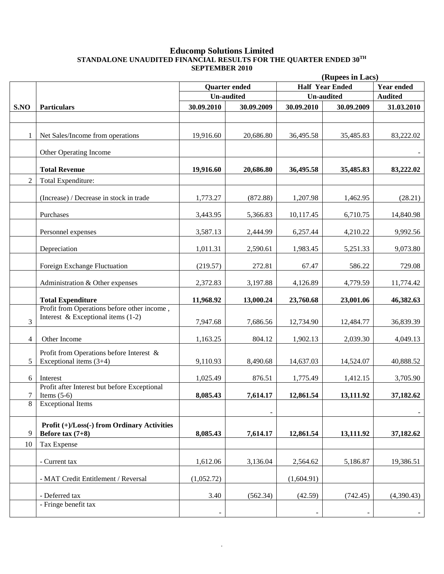#### **Educomp Solutions Limited STANDALONE UNAUDITED FINANCIAL RESULTS FOR THE QUARTER ENDED 30TH SEPTEMBER 2010**

|                | (Rupees in Lacs)                                                                    |                   |                      |                   |                        |                   |
|----------------|-------------------------------------------------------------------------------------|-------------------|----------------------|-------------------|------------------------|-------------------|
|                |                                                                                     |                   | <b>Quarter</b> ended |                   | <b>Half Year Ended</b> | <b>Year ended</b> |
|                |                                                                                     | <b>Un-audited</b> |                      | <b>Un-audited</b> |                        | <b>Audited</b>    |
| S.NO           | <b>Particulars</b>                                                                  | 30.09.2010        | 30.09.2009           | 30.09.2010        | 30.09.2009             | 31.03.2010        |
|                |                                                                                     |                   |                      |                   |                        |                   |
| 1              | Net Sales/Income from operations                                                    | 19,916.60         | 20,686.80            | 36,495.58         | 35,485.83              | 83,222.02         |
|                | Other Operating Income                                                              |                   |                      |                   |                        |                   |
|                | <b>Total Revenue</b>                                                                | 19,916.60         | 20,686.80            | 36,495.58         | 35,485.83              | 83,222.02         |
| $\overline{2}$ | Total Expenditure:                                                                  |                   |                      |                   |                        |                   |
|                | (Increase) / Decrease in stock in trade                                             | 1,773.27          | (872.88)             | 1,207.98          | 1,462.95               | (28.21)           |
|                | Purchases                                                                           | 3,443.95          | 5,366.83             | 10,117.45         | 6,710.75               | 14,840.98         |
|                | Personnel expenses                                                                  | 3,587.13          | 2,444.99             | 6,257.44          | 4,210.22               | 9,992.56          |
|                | Depreciation                                                                        | 1,011.31          | 2,590.61             | 1,983.45          | 5,251.33               | 9,073.80          |
|                | Foreign Exchange Fluctuation                                                        | (219.57)          | 272.81               | 67.47             | 586.22                 | 729.08            |
|                | Administration & Other expenses                                                     | 2,372.83          | 3,197.88             | 4,126.89          | 4,779.59               | 11,774.42         |
|                | <b>Total Expenditure</b>                                                            | 11,968.92         | 13,000.24            | 23,760.68         | 23,001.06              | 46,382.63         |
| 3              | Profit from Operations before other income,<br>Interest & Exceptional items $(1-2)$ | 7,947.68          | 7,686.56             | 12,734.90         | 12,484.77              | 36,839.39         |
| 4              | Other Income                                                                        | 1,163.25          | 804.12               | 1,902.13          | 2,039.30               | 4,049.13          |
| 5              | Profit from Operations before Interest &<br>Exceptional items $(3+4)$               | 9,110.93          | 8,490.68             | 14,637.03         | 14,524.07              | 40,888.52         |
| 6              | Interest                                                                            | 1,025.49          | 876.51               | 1,775.49          | 1,412.15               | 3,705.90          |
| 7              | Profit after Interest but before Exceptional<br>Items $(5-6)$                       | 8,085.43          | 7,614.17             | 12,861.54         | 13,111.92              | 37,182.62         |
| 8              | <b>Exceptional Items</b>                                                            |                   |                      |                   |                        |                   |
| 9              | Profit (+)/Loss(-) from Ordinary Activities<br>Before tax $(7+8)$                   | 8,085.43          | 7,614.17             | 12,861.54         | 13,111.92              | 37,182.62         |
| 10             | Tax Expense                                                                         |                   |                      |                   |                        |                   |
|                | - Current tax                                                                       | 1,612.06          | 3,136.04             | 2,564.62          | 5,186.87               | 19,386.51         |
|                | - MAT Credit Entitlement / Reversal                                                 | (1,052.72)        |                      | (1,604.91)        |                        |                   |
|                | - Deferred tax                                                                      | 3.40              | (562.34)             | (42.59)           | (742.45)               | (4,390.43)        |
|                | - Fringe benefit tax                                                                |                   |                      |                   |                        |                   |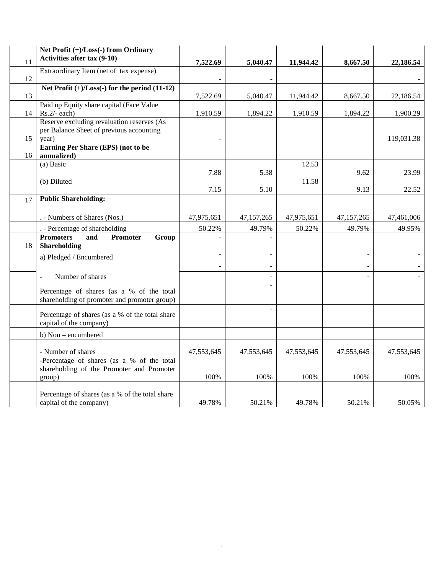|    | Net Profit (+)/Loss(-) from Ordinary                                                      |            |            |            |            |            |
|----|-------------------------------------------------------------------------------------------|------------|------------|------------|------------|------------|
| 11 | Activities after tax (9-10)                                                               | 7,522.69   | 5,040.47   | 11,944.42  | 8.667.50   | 22,186.54  |
|    | Extraordinary Item (net of tax expense)                                                   |            |            |            |            |            |
| 12 |                                                                                           |            |            |            |            |            |
| 13 | Net Profit $(+)/$ Loss $(-)$ for the period $(11-12)$                                     | 7,522.69   | 5,040.47   | 11,944.42  | 8,667.50   | 22,186.54  |
|    | Paid up Equity share capital (Face Value                                                  |            |            |            |            |            |
| 14 | $Rs.2/-$ each)                                                                            | 1,910.59   | 1,894.22   | 1,910.59   | 1,894.22   | 1,900.29   |
|    | Reserve excluding revaluation reserves (As                                                |            |            |            |            |            |
|    | per Balance Sheet of previous accounting                                                  |            |            |            |            |            |
| 15 | year)                                                                                     |            |            |            |            | 119,031.38 |
| 16 | Earning Per Share (EPS) (not to be<br>annualized)                                         |            |            |            |            |            |
|    | (a) Basic                                                                                 |            |            | 12.53      |            |            |
|    |                                                                                           | 7.88       | 5.38       |            | 9.62       | 23.99      |
|    | (b) Diluted                                                                               |            |            | 11.58      |            |            |
|    |                                                                                           | 7.15       | 5.10       |            | 9.13       | 22.52      |
| 17 | <b>Public Shareholding:</b>                                                               |            |            |            |            |            |
|    |                                                                                           |            |            |            |            |            |
|    | . - Numbers of Shares (Nos.)                                                              | 47,975,651 | 47,157,265 | 47,975,651 | 47,157,265 | 47,461,006 |
|    | . - Percentage of shareholding                                                            | 50.22%     | 49.79%     | 50.22%     | 49.79%     | 49.95%     |
| 18 | <b>Promoters</b><br>and<br><b>Promoter</b><br>Group<br>Shareholding                       |            |            |            |            |            |
|    | a) Pledged / Encumbered                                                                   |            |            |            |            |            |
|    |                                                                                           |            |            |            |            |            |
|    | Number of shares                                                                          |            |            |            |            |            |
|    | Percentage of shares (as a % of the total<br>shareholding of promoter and promoter group) |            |            |            |            |            |
|    | Percentage of shares (as a % of the total share<br>capital of the company)                |            |            |            |            |            |
|    | b) Non - encumbered                                                                       |            |            |            |            |            |
|    |                                                                                           |            |            |            |            |            |
|    | - Number of shares                                                                        | 47,553,645 | 47,553,645 | 47,553,645 | 47,553,645 | 47,553,645 |
|    | -Percentage of shares (as a % of the total<br>shareholding of the Promoter and Promoter   |            |            |            |            |            |
|    | group)                                                                                    | 100%       | 100%       | 100%       | 100%       | 100%       |
|    |                                                                                           |            |            |            |            |            |
|    | Percentage of shares (as a % of the total share<br>capital of the company)                | 49.78%     | 50.21%     | 49.78%     | 50.21%     | 50.05%     |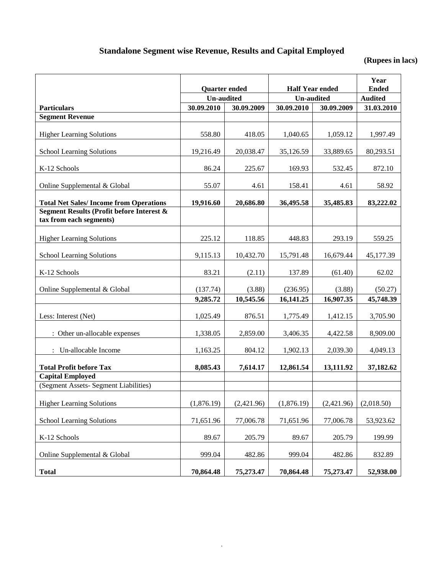## **Standalone Segment wise Revenue, Results and Capital Employed**

## **(Rupees in lacs)**

|                                                                                 | <b>Quarter ended</b> |            | <b>Half Year ended</b> | Year<br><b>Ended</b> |                |
|---------------------------------------------------------------------------------|----------------------|------------|------------------------|----------------------|----------------|
|                                                                                 | <b>Un-audited</b>    |            | <b>Un-audited</b>      |                      | <b>Audited</b> |
| <b>Particulars</b>                                                              | 30.09.2010           | 30.09.2009 | 30.09.2010             | 30.09.2009           | 31.03.2010     |
| <b>Segment Revenue</b>                                                          |                      |            |                        |                      |                |
| <b>Higher Learning Solutions</b>                                                | 558.80               | 418.05     | 1,040.65               | 1,059.12             | 1,997.49       |
| <b>School Learning Solutions</b>                                                | 19,216.49            | 20,038.47  | 35,126.59              | 33,889.65            | 80,293.51      |
| K-12 Schools                                                                    | 86.24                | 225.67     | 169.93                 | 532.45               | 872.10         |
| Online Supplemental & Global                                                    | 55.07                | 4.61       | 158.41                 | 4.61                 | 58.92          |
| <b>Total Net Sales/Income from Operations</b>                                   | 19,916.60            | 20,686.80  | 36,495.58              | 35,485.83            | 83,222.02      |
| <b>Segment Results (Profit before Interest &amp;</b><br>tax from each segments) |                      |            |                        |                      |                |
| <b>Higher Learning Solutions</b>                                                | 225.12               | 118.85     | 448.83                 | 293.19               | 559.25         |
| <b>School Learning Solutions</b>                                                | 9,115.13             | 10,432.70  | 15,791.48              | 16,679.44            | 45,177.39      |
| K-12 Schools                                                                    | 83.21                | (2.11)     | 137.89                 | (61.40)              | 62.02          |
| Online Supplemental & Global                                                    | (137.74)             | (3.88)     | (236.95)               | (3.88)               | (50.27)        |
|                                                                                 | 9,285.72             | 10,545.56  | 16,141.25              | 16,907.35            | 45,748.39      |
| Less: Interest (Net)                                                            | 1,025.49             | 876.51     | 1,775.49               | 1,412.15             | 3,705.90       |
| : Other un-allocable expenses                                                   | 1,338.05             | 2,859.00   | 3,406.35               | 4,422.58             | 8,909.00       |
| : Un-allocable Income                                                           | 1,163.25             | 804.12     | 1,902.13               | 2,039.30             | 4,049.13       |
| <b>Total Profit before Tax</b>                                                  | 8,085.43             | 7,614.17   | 12,861.54              | 13,111.92            | 37,182.62      |
| <b>Capital Employed</b><br>(Segment Assets- Segment Liabilities)                |                      |            |                        |                      |                |
|                                                                                 |                      |            |                        |                      |                |
| <b>Higher Learning Solutions</b>                                                | (1,876.19)           | (2,421.96) | (1,876.19)             | (2,421.96)           | (2,018.50)     |
| <b>School Learning Solutions</b>                                                | 71,651.96            | 77,006.78  | 71,651.96              | 77,006.78            | 53,923.62      |
| K-12 Schools                                                                    | 89.67                | 205.79     | 89.67                  | 205.79               | 199.99         |
| Online Supplemental & Global                                                    | 999.04               | 482.86     | 999.04                 | 482.86               | 832.89         |
| <b>Total</b>                                                                    | 70,864.48            | 75,273.47  | 70,864.48              | 75,273.47            | 52,938.00      |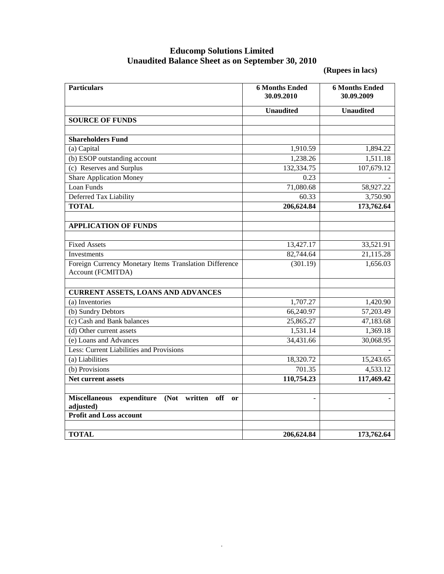### **Educomp Solutions Limited Unaudited Balance Sheet as on September 30, 2010**

**(Rupees in lacs)**

| <b>Particulars</b>                                                                                                         | <b>6 Months Ended</b><br>30.09.2010 | <b>6 Months Ended</b><br>30.09.2009 |
|----------------------------------------------------------------------------------------------------------------------------|-------------------------------------|-------------------------------------|
|                                                                                                                            | <b>Unaudited</b>                    | <b>Unaudited</b>                    |
| <b>SOURCE OF FUNDS</b>                                                                                                     |                                     |                                     |
|                                                                                                                            |                                     |                                     |
| <b>Shareholders Fund</b>                                                                                                   |                                     |                                     |
| (a) Capital                                                                                                                | 1,910.59                            | 1,894.22                            |
| (b) ESOP outstanding account                                                                                               | 1,238.26                            | 1,511.18                            |
| (c) Reserves and Surplus                                                                                                   | 132,334.75                          | 107,679.12                          |
| <b>Share Application Money</b>                                                                                             | 0.23                                |                                     |
| Loan Funds                                                                                                                 | 71,080.68                           | 58,927.22                           |
| Deferred Tax Liability                                                                                                     | 60.33                               | 3,750.90                            |
| <b>TOTAL</b>                                                                                                               | 206,624.84                          | 173,762.64                          |
| <b>APPLICATION OF FUNDS</b>                                                                                                |                                     |                                     |
|                                                                                                                            |                                     |                                     |
| <b>Fixed Assets</b>                                                                                                        | 13,427.17                           | 33,521.91                           |
| Investments                                                                                                                | 82,744.64                           | 21,115.28                           |
| Foreign Currency Monetary Items Translation Difference<br>Account (FCMITDA)                                                | (301.19)                            | 1,656.03                            |
| <b>CURRENT ASSETS, LOANS AND ADVANCES</b>                                                                                  |                                     |                                     |
| (a) Inventories                                                                                                            | 1,707.27                            | 1,420.90                            |
| (b) Sundry Debtors                                                                                                         | 66,240.97                           | 57,203.49                           |
| (c) Cash and Bank balances                                                                                                 | 25,865.27                           | 47,183.68                           |
| (d) Other current assets                                                                                                   | 1,531.14                            | 1,369.18                            |
| (e) Loans and Advances                                                                                                     | 34,431.66                           | 30,068.95                           |
| Less: Current Liabilities and Provisions                                                                                   |                                     |                                     |
| (a) Liabilities                                                                                                            | 18,320.72                           | 15,243.65                           |
| (b) Provisions                                                                                                             | 701.35                              | 4,533.12                            |
| Net current assets                                                                                                         | 110,754.23                          | 117,469.42                          |
| <b>Miscellaneous</b><br>expenditure<br>(Not written<br>off<br><sub>or</sub><br>adjusted)<br><b>Profit and Loss account</b> | $\overline{\phantom{a}}$            |                                     |
|                                                                                                                            |                                     |                                     |
| <b>TOTAL</b>                                                                                                               | 206,624.84                          | 173,762.64                          |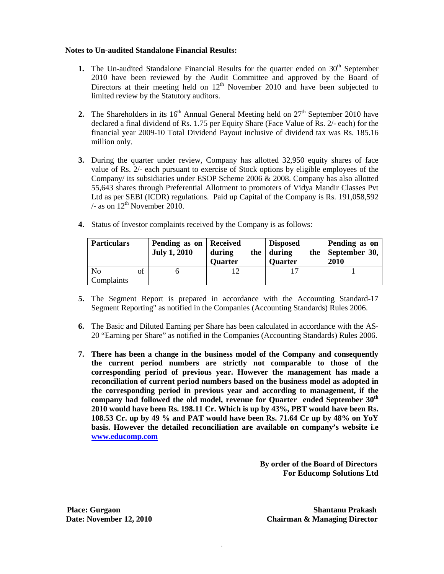#### **Notes to Un-audited Standalone Financial Results:**

- **1.** The Un-audited Standalone Financial Results for the quarter ended on 30<sup>th</sup> September 2010 have been reviewed by the Audit Committee and approved by the Board of Directors at their meeting held on  $12<sup>th</sup>$  November 2010 and have been subjected to limited review by the Statutory auditors.
- **2.** The Shareholders in its  $16<sup>th</sup>$  Annual General Meeting held on  $27<sup>th</sup>$  September 2010 have declared a final dividend of Rs. 1.75 per Equity Share (Face Value of Rs. 2/- each) for the financial year 2009-10 Total Dividend Payout inclusive of dividend tax was Rs. 185.16 million only.
- **3.** During the quarter under review, Company has allotted 32,950 equity shares of face value of Rs. 2/- each pursuant to exercise of Stock options by eligible employees of the Company/ its subsidiaries under ESOP Scheme 2006 & 2008. Company has also allotted 55,643 shares through Preferential Allotment to promoters of Vidya Mandir Classes Pvt Ltd as per SEBI (ICDR) regulations. Paid up Capital of the Company is Rs. 191,058,592  $/$ - as on  $12<sup>th</sup>$  November 2010.
- **4.** Status of Investor complaints received by the Company is as follows:

| <b>Particulars</b>           |    | Pending as on   Received<br><b>July 1, 2010</b> | during<br><b>Quarter</b> | <b>Disposed</b><br>the during<br><b>Quarter</b> | the | Pending as on<br>September 30,<br>2010 |
|------------------------------|----|-------------------------------------------------|--------------------------|-------------------------------------------------|-----|----------------------------------------|
| N <sub>0</sub><br>Complaints | of |                                                 |                          |                                                 |     |                                        |

- **5.** The Segment Report is prepared in accordance with the Accounting Standard-17 Segment Reporting" as notified in the Companies (Accounting Standards) Rules 2006.
- **6.** The Basic and Diluted Earning per Share has been calculated in accordance with the AS-20 "Earning per Share" as notified in the Companies (Accounting Standards) Rules 2006.
- **7. There has been a change in the business model of the Company and consequently the current period numbers are strictly not comparable to those of the corresponding period of previous year. However the management has made a reconciliation of current period numbers based on the business model as adopted in the corresponding period in previous year and according to management, if the company had followed the old model, revenue for Quarter ended September 30th 2010 would have been Rs. 198.11 Cr. Which is up by 43%, PBT would have been Rs. 108.53 Cr. up by 49 % and PAT would have been Rs. 71.64 Cr up by 48% on YoY basis. However the detailed reconciliation are available on company's website i.e [www.educomp.com](http://www.educomp.com/)**

.

 **By order of the Board of Directors For Educomp Solutions Ltd**

**Place: Gurgaon Shantanu Prakash Date:** November 12, 2010 Chairman & Managing Director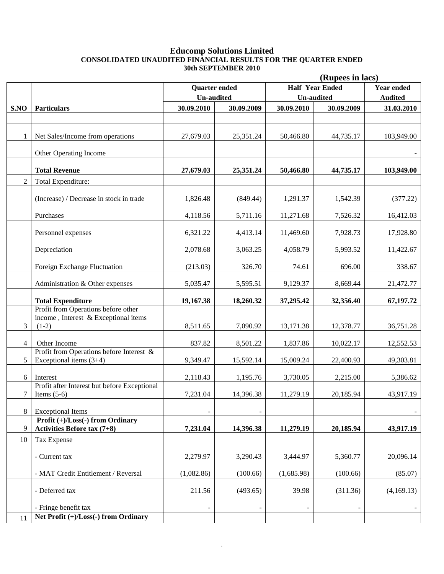#### **Educomp Solutions Limited CONSOLIDATED UNAUDITED FINANCIAL RESULTS FOR THE QUARTER ENDED 30th SEPTEMBER 2010**

|                |                                                                                                         | (Rupees in lacs)     |            |            |                        |                   |  |
|----------------|---------------------------------------------------------------------------------------------------------|----------------------|------------|------------|------------------------|-------------------|--|
|                |                                                                                                         | <b>Quarter ended</b> |            |            | <b>Half Year Ended</b> | <b>Year ended</b> |  |
|                |                                                                                                         | <b>Un-audited</b>    |            |            | <b>Un-audited</b>      | <b>Audited</b>    |  |
| S.NO           | Particulars                                                                                             | 30.09.2010           | 30.09.2009 | 30.09.2010 | 30.09.2009             | 31.03.2010        |  |
|                |                                                                                                         |                      |            |            |                        |                   |  |
| 1              | Net Sales/Income from operations                                                                        | 27,679.03            | 25,351.24  | 50,466.80  | 44,735.17              | 103,949.00        |  |
|                | Other Operating Income                                                                                  |                      |            |            |                        |                   |  |
|                | <b>Total Revenue</b>                                                                                    | 27,679.03            | 25,351.24  | 50,466.80  | 44,735.17              | 103,949.00        |  |
| $\overline{2}$ | Total Expenditure:                                                                                      |                      |            |            |                        |                   |  |
|                | (Increase) / Decrease in stock in trade                                                                 | 1,826.48             | (849.44)   | 1,291.37   | 1,542.39               | (377.22)          |  |
|                | Purchases                                                                                               | 4,118.56             | 5,711.16   | 11,271.68  | 7,526.32               | 16,412.03         |  |
|                | Personnel expenses                                                                                      | 6,321.22             | 4,413.14   | 11,469.60  | 7,928.73               | 17,928.80         |  |
|                | Depreciation                                                                                            | 2,078.68             | 3,063.25   | 4,058.79   | 5,993.52               | 11,422.67         |  |
|                | Foreign Exchange Fluctuation                                                                            | (213.03)             | 326.70     | 74.61      | 696.00                 | 338.67            |  |
|                | Administration & Other expenses                                                                         | 5,035.47             | 5,595.51   | 9,129.37   | 8,669.44               | 21,472.77         |  |
|                | <b>Total Expenditure</b>                                                                                | 19,167.38            | 18,260.32  | 37,295.42  | 32,356.40              | 67,197.72         |  |
| 3              | Profit from Operations before other<br>income, Interest & Exceptional items<br>$(1-2)$                  | 8,511.65             | 7,090.92   | 13,171.38  | 12,378.77              | 36,751.28         |  |
| $\overline{4}$ | Other Income                                                                                            | 837.82               | 8,501.22   | 1,837.86   | 10,022.17              | 12,552.53         |  |
| 5              | Profit from Operations before Interest &<br>Exceptional items $(3+4)$                                   | 9,349.47             | 15,592.14  | 15,009.24  | 22,400.93              | 49,303.81         |  |
| 6              | Interest                                                                                                | 2,118.43             | 1,195.76   | 3,730.05   | 2,215.00               | 5,386.62          |  |
| 7              | Profit after Interest but before Exceptional<br>Items $(5-6)$                                           | 7,231.04             | 14,396.38  | 11,279.19  | 20,185.94              | 43,917.19         |  |
| 8              | <b>Exceptional Items</b>                                                                                | -                    |            |            |                        |                   |  |
| 9              | <b>Profit <math>(+)/</math>Loss<math>(-)</math> from Ordinary</b><br><b>Activities Before tax (7+8)</b> | 7,231.04             | 14,396.38  | 11,279.19  | 20,185.94              | 43,917.19         |  |
| 10             | <b>Tax Expense</b>                                                                                      |                      |            |            |                        |                   |  |
|                | - Current tax                                                                                           | 2,279.97             | 3,290.43   | 3,444.97   | 5,360.77               | 20,096.14         |  |
|                | - MAT Credit Entitlement / Reversal                                                                     | (1,082.86)           | (100.66)   | (1,685.98) | (100.66)               | (85.07)           |  |
|                | - Deferred tax                                                                                          | 211.56               | (493.65)   | 39.98      | (311.36)               | (4,169.13)        |  |
|                | - Fringe benefit tax                                                                                    |                      |            |            |                        |                   |  |
| 11             | Net Profit (+)/Loss(-) from Ordinary                                                                    |                      |            |            |                        |                   |  |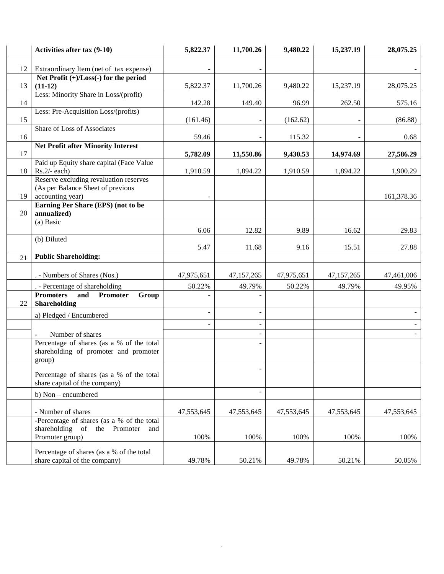|    | Activities after tax (9-10)                                                | 5,822.37   | 11,700.26  | 9,480.22   | 15,237.19  | 28,075.25  |
|----|----------------------------------------------------------------------------|------------|------------|------------|------------|------------|
| 12 | Extraordinary Item (net of tax expense)                                    |            |            |            |            |            |
|    | Net Profit (+)/Loss(-) for the period                                      |            |            |            |            |            |
| 13 | $(11-12)$                                                                  | 5,822.37   | 11,700.26  | 9,480.22   | 15,237.19  | 28,075.25  |
| 14 | Less: Minority Share in Loss/(profit)                                      | 142.28     | 149.40     | 96.99      | 262.50     | 575.16     |
|    | Less: Pre-Acquisition Loss/(profits)                                       |            |            |            |            |            |
| 15 |                                                                            | (161.46)   |            | (162.62)   |            | (86.88)    |
| 16 | <b>Share of Loss of Associates</b>                                         | 59.46      |            | 115.32     |            | 0.68       |
|    | <b>Net Profit after Minority Interest</b>                                  |            |            |            |            |            |
| 17 |                                                                            | 5,782.09   | 11,550.86  | 9,430.53   | 14,974.69  | 27,586.29  |
|    | Paid up Equity share capital (Face Value                                   |            |            |            |            |            |
| 18 | $Rs.2/- each)$                                                             | 1,910.59   | 1,894.22   | 1,910.59   | 1,894.22   | 1,900.29   |
|    | Reserve excluding revaluation reserves                                     |            |            |            |            |            |
| 19 | (As per Balance Sheet of previous                                          |            |            |            |            |            |
|    | accounting year)<br>Earning Per Share (EPS) (not to be                     |            |            |            |            | 161,378.36 |
| 20 | annualized)                                                                |            |            |            |            |            |
|    | (a) Basic                                                                  |            |            |            |            |            |
|    |                                                                            | 6.06       | 12.82      | 9.89       | 16.62      | 29.83      |
|    | (b) Diluted                                                                |            |            |            |            |            |
|    |                                                                            | 5.47       | 11.68      | 9.16       | 15.51      | 27.88      |
| 21 | <b>Public Shareholding:</b>                                                |            |            |            |            |            |
|    |                                                                            |            |            |            |            |            |
|    | . - Numbers of Shares (Nos.)                                               | 47,975,651 | 47,157,265 | 47,975,651 | 47,157,265 | 47,461,006 |
|    | . - Percentage of shareholding                                             | 50.22%     | 49.79%     | 50.22%     | 49.79%     | 49.95%     |
| 22 | <b>Promoters</b><br><b>Promoter</b><br>and<br>Group<br>Shareholding        |            |            |            |            |            |
|    | a) Pledged / Encumbered                                                    |            |            |            |            |            |
|    |                                                                            |            |            |            |            |            |
|    | Number of shares                                                           |            |            |            |            |            |
|    | Percentage of shares (as a % of the total                                  |            |            |            |            |            |
|    | shareholding of promoter and promoter                                      |            |            |            |            |            |
|    | group)                                                                     |            |            |            |            |            |
|    | Percentage of shares (as a % of the total<br>share capital of the company) |            |            |            |            |            |
|    | b) Non - encumbered                                                        |            |            |            |            |            |
|    | - Number of shares                                                         | 47,553,645 | 47,553,645 | 47,553,645 | 47,553,645 | 47,553,645 |
|    | -Percentage of shares (as a % of the total                                 |            |            |            |            |            |
|    | shareholding of the Promoter<br>and                                        |            |            |            |            |            |
|    | Promoter group)                                                            | 100%       | 100%       | 100%       | 100%       | 100%       |
|    | Percentage of shares (as a % of the total                                  |            |            |            |            |            |
|    | share capital of the company)                                              | 49.78%     | 50.21%     | 49.78%     | 50.21%     | 50.05%     |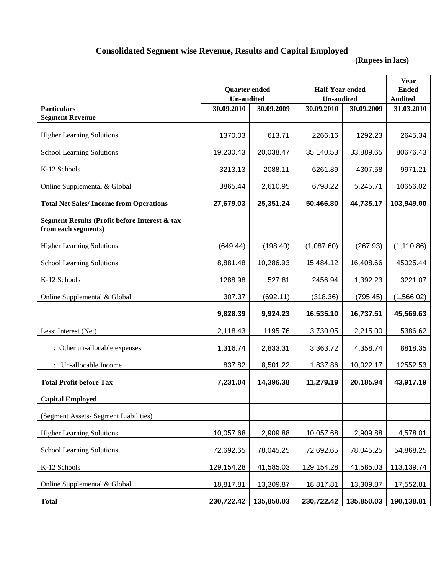# **Consolidated Segment wise Revenue, Results and Capital Employed**

**(Rupees in lacs)**

|                                                                      | <b>Quarter ended</b> |            | <b>Half Year ended</b> | Year<br><b>Ended</b> |             |
|----------------------------------------------------------------------|----------------------|------------|------------------------|----------------------|-------------|
|                                                                      | <b>Un-audited</b>    |            | <b>Un-audited</b>      | <b>Audited</b>       |             |
| <b>Particulars</b>                                                   | 30.09.2010           | 30.09.2009 | 30.09.2010             | 30.09.2009           | 31.03.2010  |
| <b>Segment Revenue</b>                                               |                      |            |                        |                      |             |
| <b>Higher Learning Solutions</b>                                     | 1370.03              | 613.71     | 2266.16                | 1292.23              | 2645.34     |
| School Learning Solutions                                            | 19,230.43            | 20,038.47  | 35,140.53              | 33,889.65            | 80676.43    |
| K-12 Schools                                                         | 3213.13              | 2088.11    | 6261.89                | 4307.58              | 9971.21     |
| Online Supplemental & Global                                         | 3865.44              | 2,610.95   | 6798.22                | 5,245.71             | 10656.02    |
| <b>Total Net Sales/Income from Operations</b>                        | 27,679.03            | 25,351.24  | 50,466.80              | 44,735.17            | 103,949.00  |
| Segment Results (Profit before Interest & tax<br>from each segments) |                      |            |                        |                      |             |
| <b>Higher Learning Solutions</b>                                     | (649.44)             | (198.40)   | (1,087.60)             | (267.93)             | (1, 110.86) |
| <b>School Learning Solutions</b>                                     | 8,881.48             | 10,286.93  | 15,484.12              | 16,408.66            | 45025.44    |
| K-12 Schools                                                         | 1288.98              | 527.81     | 2456.94                | 1,392.23             | 3221.07     |
| Online Supplemental & Global                                         | 307.37               | (692.11)   | (318.36)               | (795.45)             | (1,566.02)  |
|                                                                      | 9,828.39             | 9,924.23   | 16,535.10              | 16,737.51            | 45,569.63   |
| Less: Interest (Net)                                                 | 2,118.43             | 1195.76    | 3,730.05               | 2,215.00             | 5386.62     |
| : Other un-allocable expenses                                        | 1,316.74             | 2,833.31   | 3,363.72               | 4,358.74             | 8818.35     |
| : Un-allocable Income                                                | 837.82               | 8,501.22   | 1,837.86               | 10,022.17            | 12552.53    |
| <b>Total Profit before Tax</b>                                       | 7,231.04             | 14,396.38  | 11,279.19              | 20,185.94            | 43,917.19   |
| <b>Capital Employed</b>                                              |                      |            |                        |                      |             |
| (Segment Assets- Segment Liabilities)                                |                      |            |                        |                      |             |
| <b>Higher Learning Solutions</b>                                     | 10,057.68            | 2,909.88   | 10,057.68              | 2,909.88             | 4,578.01    |
| School Learning Solutions                                            | 72,692.65            | 78,045.25  | 72,692.65              | 78,045.25            | 54,868.25   |
| K-12 Schools                                                         | 129,154.28           | 41,585.03  | 129,154.28             | 41,585.03            | 113,139.74  |
| Online Supplemental & Global                                         | 18,817.81            | 13,309.87  | 18,817.81              | 13,309.87            | 17,552.81   |
| <b>Total</b>                                                         | 230,722.42           | 135,850.03 | 230,722.42             | 135,850.03           | 190,138.81  |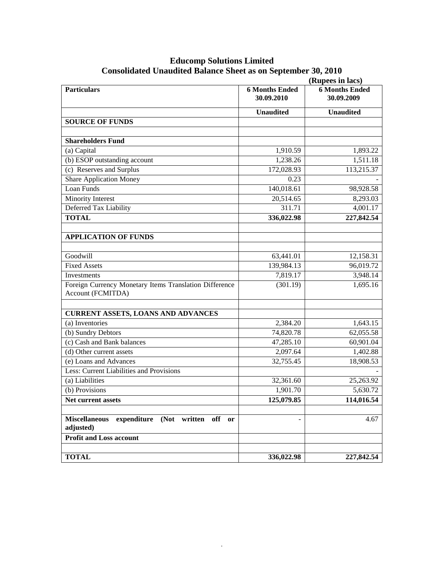## **Educomp Solutions Limited Consolidated Unaudited Balance Sheet as on September 30, 2010**

|                                                                               | (Rupees in lacs)                    |                                     |  |  |  |
|-------------------------------------------------------------------------------|-------------------------------------|-------------------------------------|--|--|--|
| <b>Particulars</b>                                                            | <b>6 Months Ended</b><br>30.09.2010 | <b>6 Months Ended</b><br>30.09.2009 |  |  |  |
|                                                                               | <b>Unaudited</b>                    | <b>Unaudited</b>                    |  |  |  |
| <b>SOURCE OF FUNDS</b>                                                        |                                     |                                     |  |  |  |
|                                                                               |                                     |                                     |  |  |  |
| <b>Shareholders Fund</b>                                                      |                                     |                                     |  |  |  |
| (a) Capital                                                                   | 1,910.59                            | 1,893.22                            |  |  |  |
| (b) ESOP outstanding account                                                  | 1,238.26                            | 1,511.18                            |  |  |  |
| (c) Reserves and Surplus                                                      | 172,028.93                          | 113,215.37                          |  |  |  |
| <b>Share Application Money</b>                                                | 0.23                                |                                     |  |  |  |
| Loan Funds                                                                    | 140,018.61                          | 98,928.58                           |  |  |  |
| Minority Interest                                                             | 20,514.65                           | 8,293.03                            |  |  |  |
| Deferred Tax Liability                                                        | 311.71                              | 4,001.17                            |  |  |  |
| <b>TOTAL</b>                                                                  | 336,022.98                          | 227,842.54                          |  |  |  |
| <b>APPLICATION OF FUNDS</b>                                                   |                                     |                                     |  |  |  |
|                                                                               |                                     |                                     |  |  |  |
| Goodwill                                                                      | 63,441.01                           | 12,158.31                           |  |  |  |
| <b>Fixed Assets</b>                                                           | 139,984.13                          | 96,019.72                           |  |  |  |
| Investments                                                                   | 7,819.17                            | 3,948.14                            |  |  |  |
| Foreign Currency Monetary Items Translation Difference<br>Account (FCMITDA)   | (301.19)                            | 1,695.16                            |  |  |  |
| <b>CURRENT ASSETS, LOANS AND ADVANCES</b>                                     |                                     |                                     |  |  |  |
| (a) Inventories                                                               | 2,384.20                            | 1,643.15                            |  |  |  |
| (b) Sundry Debtors                                                            | 74,820.78                           | 62,055.58                           |  |  |  |
| (c) Cash and Bank balances                                                    | 47,285.10                           | 60,901.04                           |  |  |  |
| (d) Other current assets                                                      | 2,097.64                            | 1,402.88                            |  |  |  |
| (e) Loans and Advances                                                        | 32,755.45                           | 18,908.53                           |  |  |  |
| Less: Current Liabilities and Provisions                                      |                                     |                                     |  |  |  |
| (a) Liabilities                                                               | 32,361.60                           | 25,263.92                           |  |  |  |
| (b) Provisions                                                                | 1,901.70                            | 5,630.72                            |  |  |  |
| Net current assets                                                            | 125,079.85                          | 114,016.54                          |  |  |  |
|                                                                               |                                     |                                     |  |  |  |
| expenditure<br>(Not written<br>off<br><b>Miscellaneous</b><br>or<br>adjusted) |                                     | 4.67                                |  |  |  |
| <b>Profit and Loss account</b>                                                |                                     |                                     |  |  |  |
|                                                                               |                                     |                                     |  |  |  |
| <b>TOTAL</b>                                                                  | 336,022.98                          | 227,842.54                          |  |  |  |